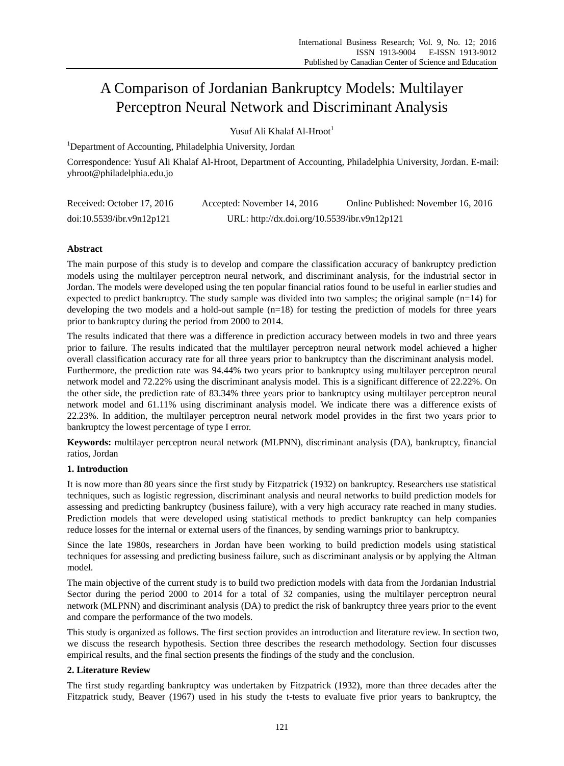# A Comparison of Jordanian Bankruptcy Models: Multilayer Perceptron Neural Network and Discriminant Analysis

Yusuf Ali Khalaf Al-Hroot<sup>1</sup>

<sup>1</sup>Department of Accounting, Philadelphia University, Jordan

Correspondence: Yusuf Ali Khalaf Al-Hroot, Department of Accounting, Philadelphia University, Jordan. E-mail: yhroot@philadelphia.edu.jo

| Received: October 17, 2016 | Accepted: November 14, 2016                  | Online Published: November 16, 2016 |
|----------------------------|----------------------------------------------|-------------------------------------|
| doi:10.5539/ibr.v9n12p121  | URL: http://dx.doi.org/10.5539/ibr.v9n12p121 |                                     |

## **Abstract**

The main purpose of this study is to develop and compare the classification accuracy of bankruptcy prediction models using the multilayer perceptron neural network, and discriminant analysis, for the industrial sector in Jordan. The models were developed using the ten popular financial ratios found to be useful in earlier studies and expected to predict bankruptcy. The study sample was divided into two samples; the original sample (n=14) for developing the two models and a hold-out sample  $(n=18)$  for testing the prediction of models for three years prior to bankruptcy during the period from 2000 to 2014.

The results indicated that there was a difference in prediction accuracy between models in two and three years prior to failure. The results indicated that the multilayer perceptron neural network model achieved a higher overall classification accuracy rate for all three years prior to bankruptcy than the discriminant analysis model. Furthermore, the prediction rate was 94.44% two years prior to bankruptcy using multilayer perceptron neural network model and 72.22% using the discriminant analysis model. This is a significant difference of 22.22%. On the other side, the prediction rate of 83.34% three years prior to bankruptcy using multilayer perceptron neural network model and 61.11% using discriminant analysis model. We indicate there was a difference exists of 22.23%. In addition, the multilayer perceptron neural network model provides in the first two years prior to bankruptcy the lowest percentage of type I error.

**Keywords:** multilayer perceptron neural network (MLPNN), discriminant analysis (DA), bankruptcy, financial ratios, Jordan

### **1. Introduction**

It is now more than 80 years since the first study by Fitzpatrick (1932) on bankruptcy. Researchers use statistical techniques, such as logistic regression, discriminant analysis and neural networks to build prediction models for assessing and predicting bankruptcy (business failure), with a very high accuracy rate reached in many studies. Prediction models that were developed using statistical methods to predict bankruptcy can help companies reduce losses for the internal or external users of the finances, by sending warnings prior to bankruptcy.

Since the late 1980s, researchers in Jordan have been working to build prediction models using statistical techniques for assessing and predicting business failure, such as discriminant analysis or by applying the Altman model.

The main objective of the current study is to build two prediction models with data from the Jordanian Industrial Sector during the period 2000 to 2014 for a total of 32 companies, using the multilayer perceptron neural network (MLPNN) and discriminant analysis (DA) to predict the risk of bankruptcy three years prior to the event and compare the performance of the two models.

This study is organized as follows. The first section provides an introduction and literature review. In section two, we discuss the research hypothesis. Section three describes the research methodology. Section four discusses empirical results, and the final section presents the findings of the study and the conclusion.

## **2. Literature Review**

The first study regarding bankruptcy was undertaken by Fitzpatrick (1932), more than three decades after the Fitzpatrick study, Beaver (1967) used in his study the t-tests to evaluate five prior years to bankruptcy, the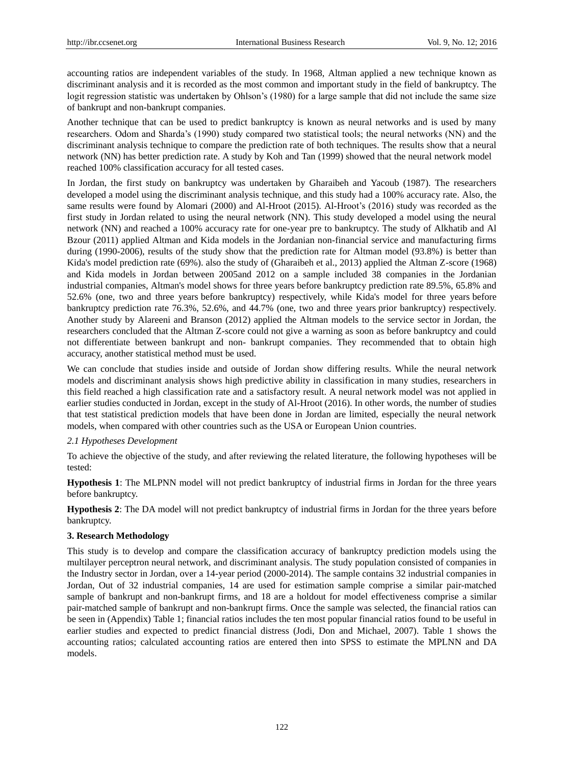accounting ratios are independent variables of the study. In 1968, Altman applied a new technique known as discriminant analysis and it is recorded as the most common and important study in the field of bankruptcy. The logit regression statistic was undertaken by Ohlson's (1980) for a large sample that did not include the same size of bankrupt and non-bankrupt companies.

Another technique that can be used to predict bankruptcy is known as neural networks and is used by many researchers. Odom and Sharda's (1990) study compared two statistical tools; the neural networks (NN) and the discriminant analysis technique to compare the prediction rate of both techniques. The results show that a neural network (NN) has better prediction rate. A study by Koh and Tan (1999) showed that the neural network model reached 100% classification accuracy for all tested cases.

In Jordan, the first study on bankruptcy was undertaken by Gharaibeh and Yacoub (1987). The researchers developed a model using the discriminant analysis technique, and this study had a 100% accuracy rate. Also, the same results were found by Alomari (2000) and Al-Hroot (2015). Al-Hroot's (2016) study was recorded as the first study in Jordan related to using the neural network (NN). This study developed a model using the neural network (NN) and reached a 100% accuracy rate for one-year pre to bankruptcy. The study of Alkhatib and Al Bzour (2011) applied Altman and Kida models in the Jordanian non-financial service and manufacturing firms during (1990-2006), results of the study show that the prediction rate for Altman model (93.8%) is better than Kida's model prediction rate (69%). also the study of (Gharaibeh et al., 2013) applied the Altman Z-score (1968) and Kida models in Jordan between 2005and 2012 on a sample included 38 companies in the Jordanian industrial companies, Altman's model shows for three years before bankruptcy prediction rate 89.5%, 65.8% and 52.6% (one, two and three years before bankruptcy) respectively, while Kida's model for three years before bankruptcy prediction rate 76.3%, 52.6%, and 44.7% (one, two and three years prior bankruptcy) respectively. Another study by Alareeni and Branson (2012) applied the Altman models to the service sector in Jordan, the researchers concluded that the Altman Z-score could not give a warning as soon as before bankruptcy and could not differentiate between bankrupt and non- bankrupt companies. They recommended that to obtain high accuracy, another statistical method must be used.

We can conclude that studies inside and outside of Jordan show differing results. While the neural network models and discriminant analysis shows high predictive ability in classification in many studies, researchers in this field reached a high classification rate and a satisfactory result. A neural network model was not applied in earlier studies conducted in Jordan, except in the study of Al-Hroot (2016). In other words, the number of studies that test statistical prediction models that have been done in Jordan are limited, especially the neural network models, when compared with other countries such as the USA or European Union countries.

### *2.1 Hypotheses Development*

To achieve the objective of the study, and after reviewing the related literature, the following hypotheses will be tested:

**Hypothesis 1**: The MLPNN model will not predict bankruptcy of industrial firms in Jordan for the three years before bankruptcy.

**Hypothesis 2**: The DA model will not predict bankruptcy of industrial firms in Jordan for the three years before bankruptcy.

#### **3. Research Methodology**

This study is to develop and compare the classification accuracy of bankruptcy prediction models using the multilayer perceptron neural network, and discriminant analysis. The study population consisted of companies in the Industry sector in Jordan, over a 14-year period (2000-2014). The sample contains 32 industrial companies in Jordan, Out of 32 industrial companies, 14 are used for estimation sample comprise a similar pair-matched sample of bankrupt and non-bankrupt firms, and 18 are a holdout for model effectiveness comprise a similar pair-matched sample of bankrupt and non-bankrupt firms. Once the sample was selected, the financial ratios can be seen in (Appendix) Table 1; financial ratios includes the ten most popular financial ratios found to be useful in earlier studies and expected to predict financial distress (Jodi, Don and Michael, 2007). Table 1 shows the accounting ratios; calculated accounting ratios are entered then into SPSS to estimate the MPLNN and DA models.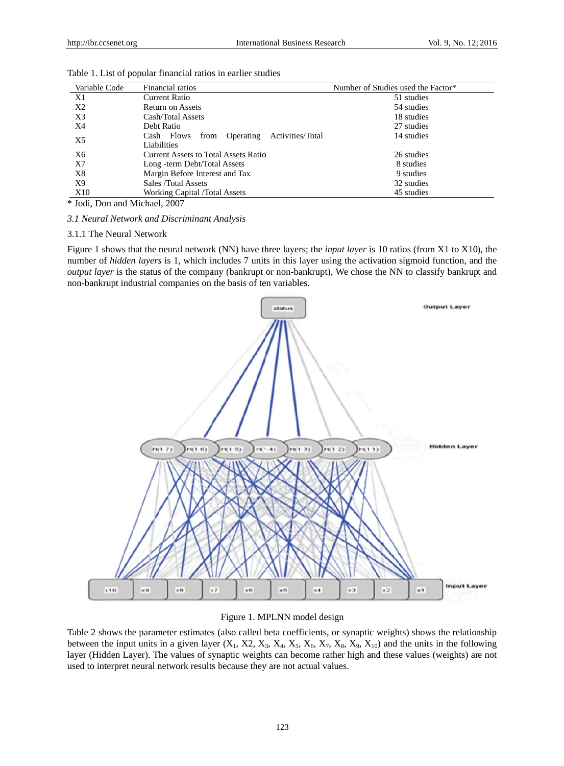| Variable Code                    | Financial ratios                                                                                                         | Number of Studies used the Factor* |  |  |
|----------------------------------|--------------------------------------------------------------------------------------------------------------------------|------------------------------------|--|--|
| X1                               | <b>Current Ratio</b>                                                                                                     | 51 studies                         |  |  |
| X2                               | <b>Return on Assets</b>                                                                                                  | 54 studies                         |  |  |
| X3                               | Cash/Total Assets                                                                                                        | 18 studies                         |  |  |
| X4                               | Debt Ratio                                                                                                               | 27 studies                         |  |  |
| X5                               | Operating<br>Activities/Total<br>from<br>Cash Flows<br>Liabilities                                                       | 14 studies                         |  |  |
| X6                               | <b>Current Assets to Total Assets Ratio</b>                                                                              | 26 studies                         |  |  |
| X7                               | Long -term Debt/Total Assets                                                                                             | 8 studies                          |  |  |
| X8                               | Margin Before Interest and Tax                                                                                           | 9 studies                          |  |  |
| X9                               | Sales /Total Assets                                                                                                      | 32 studies                         |  |  |
| X10                              | Working Capital /Total Assets                                                                                            | 45 studies                         |  |  |
| Usta Jodi, Don and Michael, 2007 |                                                                                                                          |                                    |  |  |
|                                  | 3.1 Neural Network and Discriminant Analysis                                                                             |                                    |  |  |
| 3.1.1 The Neural Network         |                                                                                                                          |                                    |  |  |
|                                  | Figure 1 shows that the neural network (NN) have three layers; the <i>input layer</i> is 10 ratios (from X1 to X10), the |                                    |  |  |

Table 1. List of popular financial ratios in earlier studies

#### 3.1.1 The Neural Network

Figure 1 shows that the neural network (NN) have three layers; the *input layer* is 10 ratios (from X1 to X10), the number of *hidden layers* is 1, which includes 7 units in this layer using the activation sigmoid function, and the *output layer* is the status of the company (bankrupt or non-bankrupt), We chose the NN to classify bankrupt and non-bankrupt industrial companies on the basis of ten variables.



#### Figure 1. M MPLNN model design

Table 2 shows the parameter estimates (also called beta coefficients, or synaptic weights) shows the relationship between the input units in a given layer  $(X_1, X_2, X_3, X_4, X_5, X_6, X_7, X_8, X_9, X_{10})$  and the units in the following layer (Hidden Layer). The values of synaptic weights can become rather high and these values (weights) are not used to interpret neural network results because they are not actual values.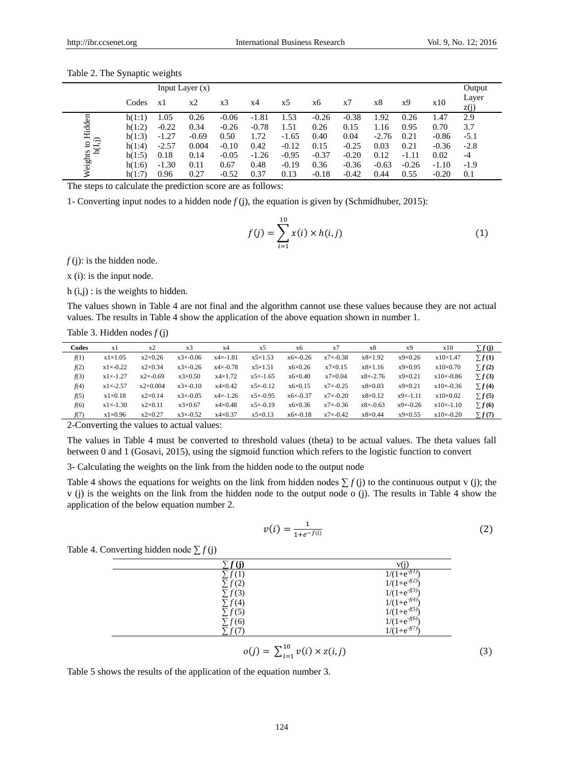| Input Layer $(x)$     |        |         |         |                |         |         |         |         |         |         | Output  |               |
|-----------------------|--------|---------|---------|----------------|---------|---------|---------|---------|---------|---------|---------|---------------|
|                       | Codes  | x1      | х2      | x <sub>3</sub> | x4      | x5      | х6      | x7      | x8      | x9      | x10     | Layer<br>z(j) |
| s to Hidden<br>1(1,j) | h(1:1) | l.05    | 0.26    | $-0.06$        | $-1.81$ | 1.53    | $-0.26$ | $-0.38$ | 1.92    | 0.26    | 1.47    | 2.9           |
|                       | h(1:2) | $-0.22$ | 0.34    | $-0.26$        | $-0.78$ | 1.51    | 0.26    | 0.15    | 1.16    | 0.95    | 0.70    | 3.7           |
|                       | h(1:3) | $-1.27$ | $-0.69$ | 0.50           | 1.72    | $-1.65$ | 0.40    | 0.04    | $-2.76$ | 0.21    | $-0.86$ | $-5.1$        |
|                       | h(1:4) | $-2.57$ | 0.004   | $-0.10$        | 0.42    | $-0.12$ | 0.15    | $-0.25$ | 0.03    | 0.21    | $-0.36$ | $-2.8$        |
| ᅼ                     | h(1:5) | 0.18    | 0.14    | $-0.05$        | $-1.26$ | $-0.95$ | $-0.37$ | $-0.20$ | 0.12    | $-1.11$ | 0.02    | $-4$          |
| Weights               | h(1:6) | $-1.30$ | 0.11    | 0.67           | 0.48    | $-0.19$ | 0.36    | $-0.36$ | $-0.63$ | $-0.26$ | $-1.10$ | $-1.9$        |
|                       | h(1:7) | 0.96    | 0.27    | $-0.52$        | 0.37    | 0.13    | $-0.18$ | $-0.42$ | 0.44    | 0.55    | $-0.20$ | 0.1           |

Table 2. The Synaptic weights

The steps to calculate the prediction score are as follows:

1- Converting input nodes to a hidden node *f* (j), the equation is given by (Schmidhuber, 2015):

$$
f(j) = \sum_{i=1}^{10} x(i) \times h(i,j)
$$
 (1)

 $f(i)$ : is the hidden node.

x (i): is the input node.

 $h(i,j)$ : is the weights to hidden.

The values shown in Table 4 are not final and the algorithm cannot use these values because they are not actual values. The results in Table 4 show the application of the above equation shown in number 1.

Table 3. Hidden nodes *f* (j)

| Codes | x1               | $x^2$             | x <sub>3</sub>   | x4               | x5               | x6               | x7               | x8               | x9               | x10               | $\Sigma f(i)$ |
|-------|------------------|-------------------|------------------|------------------|------------------|------------------|------------------|------------------|------------------|-------------------|---------------|
| f(1)  | $x1 \times 1.05$ | $x2\times0.26$    | $x3 \times 0.06$ | $x4 \times 1.81$ | $x5 \times 1.53$ | $x6 \times 0.26$ | $x7 \times 0.38$ | $x8\times1.92$   | $x9 \times 0.26$ | $x10\times1.47$   | $\Sigma f(1)$ |
| f(2)  | $x1 \times 0.22$ | $x2 \times 0.34$  | $x3 \times 0.26$ | $x4 \times 0.78$ | $x5 \times 1.51$ | $x6 \times 0.26$ | $x7\times0.15$   | $x8\times1.16$   | $x9 \times 0.95$ | $x10 \times 0.70$ | $\Sigma f(2)$ |
| f(3)  | $x1 \times 1.27$ | $x2 \times 0.69$  | $x3 \times 0.50$ | $x4\times1.72$   | $x5 \times 1.65$ | $x6 \times 0.40$ | $x7 \times 0.04$ | $x8 \times 2.76$ | $x9\times0.21$   | $x10 \times 0.86$ | $\Sigma f(3)$ |
| f(4)  | $x1 \times 2.57$ | $x2 \times 0.004$ | $x3 \times 0.10$ | $x4\times0.42$   | $x5 \times 0.12$ | $x6 \times 0.15$ | $x7 \times 0.25$ | $x8 \times 0.03$ | $x9 \times 0.21$ | $x10 \times 0.36$ | $\Sigma f(4)$ |
| f(5)  | $x1 \times 0.18$ | $x2 \times 0.14$  | $x3 \times 0.05$ | $x4 \times 1.26$ | $x5 \times 0.95$ | $x6 \times 0.37$ | $x7 \times 0.20$ | $x8 \times 0.12$ | $x9 \times 1.11$ | $x10 \times 0.02$ | $\Sigma f(5)$ |
| f(6)  | $x1 \times 1.30$ | $x2 \times 0.11$  | $x3 \times 0.67$ | $x4\times0.48$   | $x5 \times 0.19$ | $x6 \times 0.36$ | $x7 \times 0.36$ | $x8 \times 0.63$ | $x9 \times 0.26$ | $x10 \times 1.10$ | $\Sigma f(6)$ |
| f(7)  | $x1 \times 0.96$ | $x2\times0.27$    | $x3 \times 0.52$ | $x4\times0.37$   | $x5 \times 0.13$ | $x6 \times 0.18$ | $x7 \times 0.42$ | $x8 \times 0.44$ | $x9 \times 0.55$ | $x10 \times 0.20$ | $\Sigma f(7)$ |
|       |                  |                   |                  |                  |                  |                  |                  |                  |                  |                   |               |

2-Converting the values to actual values:

The values in Table 4 must be converted to threshold values (theta) to be actual values. The theta values fall between 0 and 1 (Gosavi, 2015), using the sigmoid function which refers to the logistic function to convert

3- Calculating the weights on the link from the hidden node to the output node

Table 4 shows the equations for weights on the link from hidden nodes  $\sum f(i)$  to the continuous output v (j); the v (j) is the weights on the link from the hidden node to the output node o (j). The results in Table 4 show the application of the below equation number 2.

$$
\upsilon(i) = \frac{1}{1 + e^{-f(i)}}\tag{2}
$$

Table 4. Converting hidden node ∑ *f* (j)

| f(1)        | $1/(1+e)$         |
|-------------|-------------------|
| $\sum f(2)$ | $1/(1+e^{-t})$    |
| $\sum f(3)$ | $1/(1+e^{-t})$    |
| $\sum f(4)$ | $1/(1+e^{-f(t))}$ |
| $\sum f(5)$ | $1/(1+e^{-f(5)})$ |
| $\sum f(6)$ | $1/(1+e^{-t})$    |
|             |                   |

$$
o(j) = \sum_{i=1}^{10} v(i) \times z(i,j)
$$
 (3)

Table 5 shows the results of the application of the equation number 3.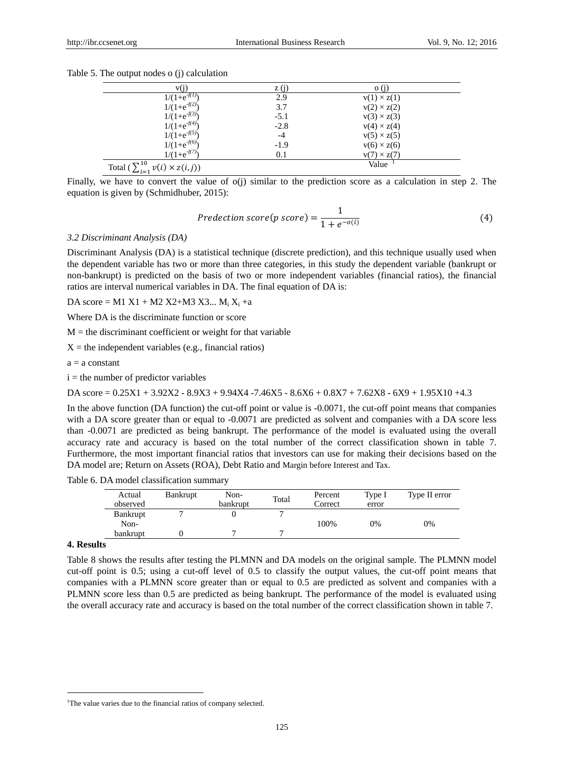|  |  |  |  | Table 5. The output nodes o (j) calculation |
|--|--|--|--|---------------------------------------------|
|--|--|--|--|---------------------------------------------|

|                                                                     | Z (1.  |                    |
|---------------------------------------------------------------------|--------|--------------------|
| $1/(1+e^{-f(1)}$                                                    | 2.9    | $v(1) \times z(1)$ |
| $1/(1+e^{-f(2)})$                                                   | 3.7    | $v(2) \times z(2)$ |
| $1/(1+e^{-f(3))}$                                                   | $-5.1$ | $v(3) \times z(3)$ |
| $1/(1+e^{-f(4)})$                                                   | $-2.8$ | $v(4) \times z(4)$ |
| $1/(1+e^{-f(5)})$                                                   | $-4$   | $v(5) \times z(5)$ |
| $1/(1+e^{-f(6)})$                                                   | $-1.9$ | $v(6) \times z(6)$ |
| $1/(1+e^{-f(7)}$                                                    | 0.1    | $v(7) \times z(7)$ |
| $\sqrt{10}$<br>Total ( $\sum_{i=1}^{n} v_i$<br>$v(i) \times z(i,j)$ |        | Value              |

Finally, we have to convert the value of o(j) similar to the prediction score as a calculation in step 2. The equation is given by (Schmidhuber, 2015):

$$
Preduction \, score(p \, score) = \frac{1}{1 + e^{-o(i)}} \tag{4}
$$

#### *3.2 Discriminant Analysis (DA)*

Discriminant Analysis (DA) is a statistical technique (discrete prediction), and this technique usually used when the dependent variable has two or more than three categories, in this study the dependent variable (bankrupt or non-bankrupt) is predicted on the basis of two or more independent variables (financial ratios), the financial ratios are interval numerical variables in DA. The final equation of DA is:

DA score = M1  $X1 + M2 X2+M3 X3... M_i X_i +a$ 

Where DA is the discriminate function or score

 $M =$  the discriminant coefficient or weight for that variable

 $X =$  the independent variables (e.g., financial ratios)

 $a = a constant$ 

 $i =$  the number of predictor variables

DA score = 0.25X1 + 3.92X2 - 8.9X3 + 9.94X4 -7.46X5 - 8.6X6 + 0.8X7 + 7.62X8 - 6X9 + 1.95X10 +4.3

In the above function (DA function) the cut-off point or value is -0.0071, the cut-off point means that companies with a DA score greater than or equal to -0.0071 are predicted as solvent and companies with a DA score less than -0.0071 are predicted as being bankrupt. The performance of the model is evaluated using the overall accuracy rate and accuracy is based on the total number of the correct classification shown in table 7. Furthermore, the most important financial ratios that investors can use for making their decisions based on the DA model are; Return on Assets (ROA), Debt Ratio and Margin before Interest and Tax.

Table 6. DA model classification summary

| Actual<br>observed | <b>Bankrupt</b> | Non-<br>bankrupt | Total | Percent<br>Correct | Type I<br>error | Type II error |
|--------------------|-----------------|------------------|-------|--------------------|-----------------|---------------|
| <b>Bankrupt</b>    |                 |                  |       |                    |                 |               |
| Non-               |                 |                  |       | 100%               | 0%              | 0%            |
| bankrupt           |                 |                  |       |                    |                 |               |

## **4. Results**

-

Table 8 shows the results after testing the PLMNN and DA models on the original sample. The PLMNN model cut-off point is 0.5; using a cut-off level of 0.5 to classify the output values, the cut-off point means that companies with a PLMNN score greater than or equal to 0.5 are predicted as solvent and companies with a PLMNN score less than 0.5 are predicted as being bankrupt. The performance of the model is evaluated using the overall accuracy rate and accuracy is based on the total number of the correct classification shown in table 7.

<sup>&</sup>lt;sup>1</sup>The value varies due to the financial ratios of company selected.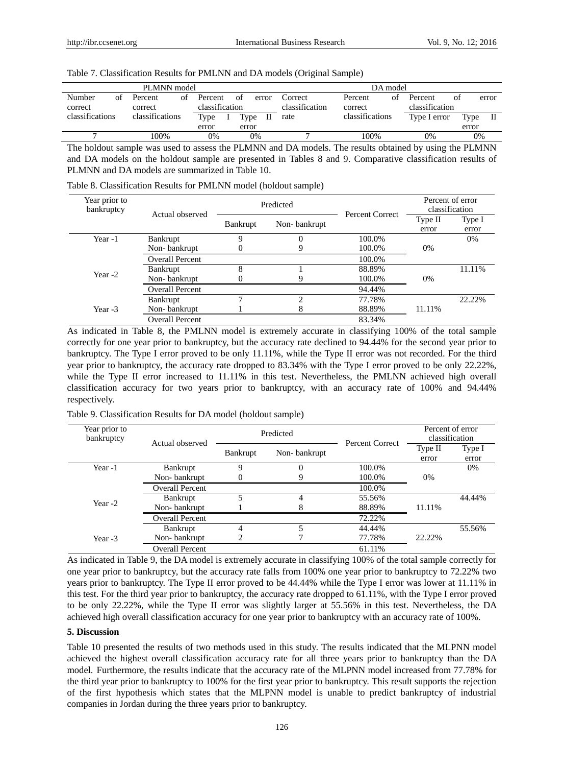| PLMNN model       |    |                    |    |                           |  |       |       | DA model                  |                    |    |                           |    |       |       |
|-------------------|----|--------------------|----|---------------------------|--|-------|-------|---------------------------|--------------------|----|---------------------------|----|-------|-------|
| Number<br>correct | οf | Percent<br>correct | οf | Percent<br>classification |  | of    | error | Correct<br>classification | Percent<br>correct | ΩŤ | Percent<br>classification | of |       | error |
| classifications   |    | classifications    |    | Type                      |  | Type  | П     | rate                      | classifications    |    | Type I error              |    | Type  | П     |
|                   |    |                    |    | error                     |  | error |       |                           |                    |    |                           |    | error |       |
|                   |    | 100%               |    | 0%                        |  |       | 0%    |                           | 100%               |    | 0%                        |    | 0%    |       |
|                   |    |                    |    |                           |  |       |       |                           |                    |    |                           |    |       |       |

## Table 7. Classification Results for PMLNN and DA models (Original Sample)

The holdout sample was used to assess the PLMNN and DA models. The results obtained by using the PLMNN and DA models on the holdout sample are presented in Tables 8 and 9. Comparative classification results of PLMNN and DA models are summarized in Table 10.

Table 8. Classification Results for PMLNN model (holdout sample)

| Year prior to<br>bankruptcy | Actual observed        |                 | Predicted    | Percent Correct | Percent of error<br>classification |        |  |
|-----------------------------|------------------------|-----------------|--------------|-----------------|------------------------------------|--------|--|
|                             |                        | <b>Bankrupt</b> | Non-bankrupt |                 | Type II                            | Type I |  |
|                             |                        |                 |              |                 | error                              | error  |  |
| Year -1                     | Bankrupt               | 9               | 0            | 100.0%          |                                    | 0%     |  |
|                             | Non-bankrupt           |                 | 9            | 100.0%          | 0%                                 |        |  |
|                             | <b>Overall Percent</b> |                 |              | 100.0%          |                                    |        |  |
| Year -2                     | Bankrupt               | 8               |              | 88.89%          |                                    | 11.11% |  |
|                             | Non-bankrupt           |                 | Q            | 100.0%          | $0\%$                              |        |  |
|                             | <b>Overall Percent</b> |                 |              | 94.44%          |                                    |        |  |
|                             | Bankrupt               |                 | ↑            | 77.78%          |                                    | 22.22% |  |
| Year -3                     | Non-bankrupt           |                 |              | 88.89%          | 11.11%                             |        |  |
|                             | <b>Overall Percent</b> |                 |              | 83.34%          |                                    |        |  |

As indicated in Table 8, the PMLNN model is extremely accurate in classifying 100% of the total sample correctly for one year prior to bankruptcy, but the accuracy rate declined to 94.44% for the second year prior to bankruptcy. The Type I error proved to be only 11.11%, while the Type II error was not recorded. For the third year prior to bankruptcy, the accuracy rate dropped to 83.34% with the Type I error proved to be only 22.22%, while the Type II error increased to 11.11% in this test. Nevertheless, the PMLNN achieved high overall classification accuracy for two years prior to bankruptcy, with an accuracy rate of 100% and 94.44% respectively.

| Year prior to<br>bankruptcy | Actual observed        |          | Predicted    | Percent Correct | Percent of error<br>classification |                 |  |
|-----------------------------|------------------------|----------|--------------|-----------------|------------------------------------|-----------------|--|
|                             |                        | Bankrupt | Non-bankrupt |                 | Type II<br>error                   | Type I<br>error |  |
| Year -1                     | Bankrupt               | Q        |              | 100.0%          |                                    | 0%              |  |
|                             | Non-bankrupt           | 0        | Q            | 100.0%          | $0\%$                              |                 |  |
|                             | <b>Overall Percent</b> |          |              | 100.0%          |                                    |                 |  |
|                             | Bankrupt               |          | 4            | 55.56%          |                                    | 44.44%          |  |
| Year -2                     | Non-bankrupt           |          |              | 88.89%          | 11.11%                             |                 |  |
|                             | <b>Overall Percent</b> |          |              | 72.22%          |                                    |                 |  |
|                             | Bankrupt               |          |              | 44.44%          |                                    | 55.56%          |  |
| Year -3                     | Non-bankrupt           |          |              | 77.78%          | 22.22%                             |                 |  |
|                             | <b>Overall Percent</b> |          |              | 61.11%          |                                    |                 |  |

Table 9. Classification Results for DA model (holdout sample)

As indicated in Table 9, the DA model is extremely accurate in classifying 100% of the total sample correctly for one year prior to bankruptcy, but the accuracy rate falls from 100% one year prior to bankruptcy to 72.22% two years prior to bankruptcy. The Type II error proved to be 44.44% while the Type I error was lower at 11.11% in this test. For the third year prior to bankruptcy, the accuracy rate dropped to 61.11%, with the Type I error proved to be only 22.22%, while the Type II error was slightly larger at 55.56% in this test. Nevertheless, the DA achieved high overall classification accuracy for one year prior to bankruptcy with an accuracy rate of 100%.

## **5. Discussion**

Table 10 presented the results of two methods used in this study. The results indicated that the MLPNN model achieved the highest overall classification accuracy rate for all three years prior to bankruptcy than the DA model. Furthermore, the results indicate that the accuracy rate of the MLPNN model increased from 77.78% for the third year prior to bankruptcy to 100% for the first year prior to bankruptcy. This result supports the rejection of the first hypothesis which states that the MLPNN model is unable to predict bankruptcy of industrial companies in Jordan during the three years prior to bankruptcy.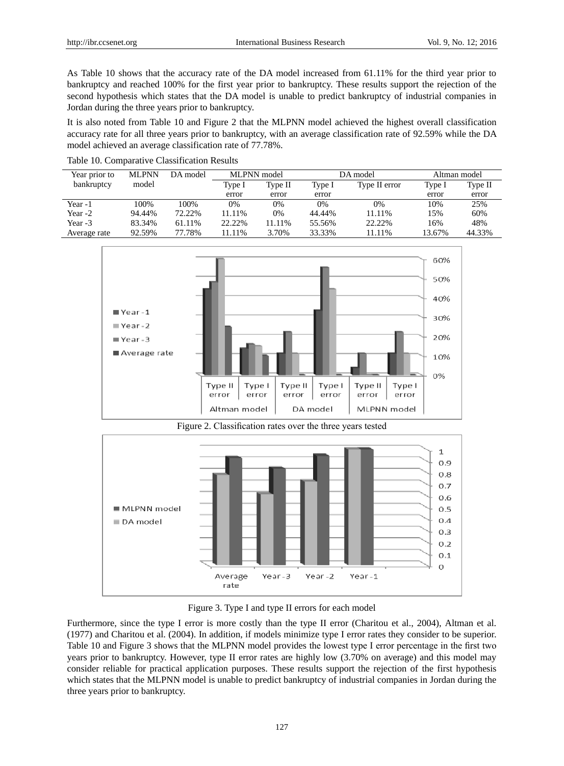As Table 10 shows that the accuracy rate of the DA model increased from 61.11% for the third year prior to bankruptcy and reached 100% for the first year prior to bankruptcy. These results support the rejection of the second hypothesis which states that the DA model is unable to predict bankruptcy of industrial companies in Jordan during the three years prior to bankruptcy.

It is also noted from Table 10 and Figure 2 that the MLPNN model achieved the highest overall classification accuracy rate for all three years prior to bankruptcy, with an average classification rate of 92.59% while the DA model achieved an average classification rate of 77.78%.

| Year prior to | <b>MLPNN</b> | DA model | MLPNN model |         |        | DA model      | Altman model |         |  |
|---------------|--------------|----------|-------------|---------|--------|---------------|--------------|---------|--|
| bankruptcy    | model        |          | Type I      | Type II | Type I | Type II error | Type I       | Type II |  |
|               |              |          | error       | error   | error  |               | error        | error   |  |
| Year -1       | 100%         | 100%     | 0%          | $0\%$   | 0%     | 0%            | 10%          | 25%     |  |
| Year -2       | 94.44%       | 72.22%   | 11.11%      | 0%      | 44.44% | 11.11%        | 15%          | 60%     |  |
| Year -3       | 83.34%       | 61.11%   | 22.22%      | 11.11%  | 55.56% | 22.22%        | 16%          | 48%     |  |
| Average rate  | 92.59%       | 77.78%   | 11.11%      | 3.70%   | 33.33% | 11.11%        | 13.67%       | 44.33%  |  |

Table 10. Comparative Classification Results





Figure 3. Type I and type II errors for each model

Furthermore, since the type I error is more costly than the type II error (Charitou et al., 2004), Altman et al. (1977) and Charitou et al. (2004). In addition, if models minimize type I error rates they consider to be superior. Table 10 and Figure 3 shows that the MLPNN model provides the lowest type I error percentage in the first two years prior to bankruptcy. However, type II error rates are highly low (3.70% on average) and this model may consider reliable for practical application purposes. These results support the rejection of the first hypothesis which states that the MLPNN model is unable to predict bankruptcy of industrial companies in Jordan during the three years prior to bankruptcy.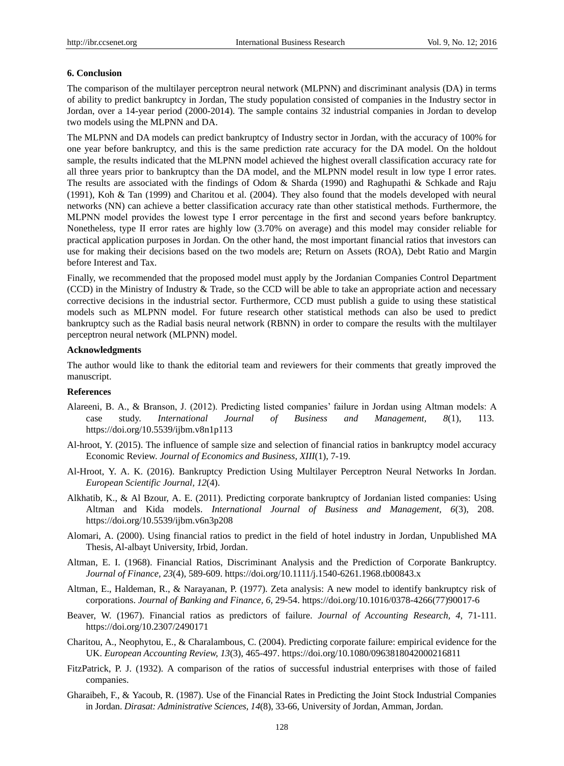#### **6. Conclusion**

The comparison of the multilayer perceptron neural network (MLPNN) and discriminant analysis (DA) in terms of ability to predict bankruptcy in Jordan, The study population consisted of companies in the Industry sector in Jordan, over a 14-year period (2000-2014). The sample contains 32 industrial companies in Jordan to develop two models using the MLPNN and DA.

The MLPNN and DA models can predict bankruptcy of Industry sector in Jordan, with the accuracy of 100% for one year before bankruptcy, and this is the same prediction rate accuracy for the DA model. On the holdout sample, the results indicated that the MLPNN model achieved the highest overall classification accuracy rate for all three years prior to bankruptcy than the DA model, and the MLPNN model result in low type I error rates. The results are associated with the findings of Odom & Sharda (1990) and Raghupathi & Schkade and Raju (1991), Koh & Tan (1999) and Charitou et al. (2004). They also found that the models developed with neural networks (NN) can achieve a better classification accuracy rate than other statistical methods. Furthermore, the MLPNN model provides the lowest type I error percentage in the first and second years before bankruptcy. Nonetheless, type II error rates are highly low (3.70% on average) and this model may consider reliable for practical application purposes in Jordan. On the other hand, the most important financial ratios that investors can use for making their decisions based on the two models are; Return on Assets (ROA), Debt Ratio and Margin before Interest and Tax.

Finally, we recommended that the proposed model must apply by the Jordanian Companies Control Department (CCD) in the Ministry of Industry & Trade, so the CCD will be able to take an appropriate action and necessary corrective decisions in the industrial sector. Furthermore, CCD must publish a guide to using these statistical models such as MLPNN model. For future research other statistical methods can also be used to predict bankruptcy such as the Radial basis neural network (RBNN) in order to compare the results with the multilayer perceptron neural network (MLPNN) model.

#### **Acknowledgments**

The author would like to thank the editorial team and reviewers for their comments that greatly improved the manuscript.

#### **References**

- Alareeni, B. A., & Branson, J. (2012). Predicting listed companies' failure in Jordan using Altman models: A case study. *International Journal of Business and Management, 8*(1), 113[.](https://doi.org/10.5539/ijbm.v8n1p113) <https://doi.org/10.5539/ijbm.v8n1p113>
- Al-hroot, Y. (2015). The influence of sample size and selection of financial ratios in bankruptcy model accuracy Economic Review. *Journal of Economics and Business, XIII*(1), 7-19.
- Al-Hroot, Y. A. K. (2016). Bankruptcy Prediction Using Multilayer Perceptron Neural Networks In Jordan. *European Scientific Journal, 12*(4).
- Alkhatib, K., & Al Bzour, A. E. (2011). Predicting corporate bankruptcy of Jordanian listed companies: Using Altman and Kida models. *International Journal of Business and Management, 6*(3), 208[.](https://doi.org/10.5539/ijbm.v6n3p208) <https://doi.org/10.5539/ijbm.v6n3p208>
- Alomari, A. (2000). Using financial ratios to predict in the field of hotel industry in Jordan, Unpublished MA Thesis, Al-albayt University, Irbid, Jordan.
- Altman, E. I. (1968). Financial Ratios, Discriminant Analysis and the Prediction of Corporate Bankruptcy. *Journal of Finance, 23*(4), 589-609. <https://doi.org/10.1111/j.1540-6261.1968.tb00843.x>
- Altman, E., Haldeman, R., & Narayanan, P. (1977). Zeta analysis: A new model to identify bankruptcy risk of corporations. *Journal of Banking and Finance, 6,* 29-54. [https://doi.org/10.1016/0378-4266\(77\)90017-6](https://doi.org/10.1016/0378-4266%2877%2990017-6)
- Beaver, W. (1967). Financial ratios as predictors of failure. *Journal of Accounting Research, 4,* 71-111. <https://doi.org/10.2307/2490171>
- Charitou, A., Neophytou, E., & Charalambous, C. (2004). Predicting corporate failure: empirical evidence for the UK. *European Accounting Review, 13*(3), 465-497. <https://doi.org/10.1080/0963818042000216811>
- FitzPatrick, P. J. (1932). A comparison of the ratios of successful industrial enterprises with those of failed companies.
- Gharaibeh, F., & Yacoub, R. (1987). Use of the Financial Rates in Predicting the Joint Stock Industrial Companies in Jordan. *Dirasat: Administrative Sciences, 14*(8), 33-66, University of Jordan, Amman, Jordan.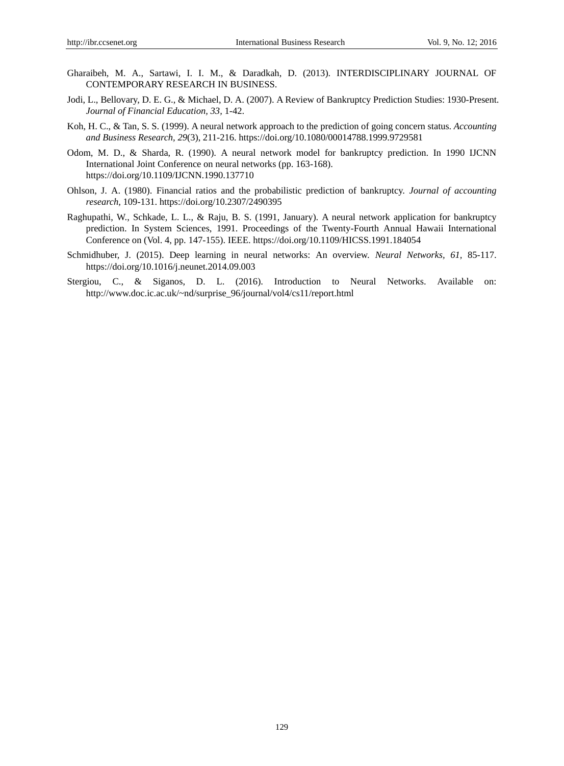- Gharaibeh, M. A., Sartawi, I. I. M., & Daradkah, D. (2013). INTERDISCIPLINARY JOURNAL OF CONTEMPORARY RESEARCH IN BUSINESS.
- Jodi, L., Bellovary, D. E. G., & Michael, D. A. (2007). A Review of Bankruptcy Prediction Studies: 1930-Present. *Journal of Financial Education, 33,* 1-42.
- Koh, H. C., & Tan, S. S. (1999). A neural network approach to the prediction of going concern status. *Accounting and Business Research, 29*(3), 211-216[.](https://doi.org/10.1080/00014788.1999.9729581) <https://doi.org/10.1080/00014788.1999.9729581>
- Odom, M. D., & Sharda, R. (1990). A neural network model for bankruptcy prediction. In 1990 IJCNN International Joint Conference on neural networks (pp. 163-168). <https://doi.org/10.1109/IJCNN.1990.137710>
- Ohlson, J. A. (1980). Financial ratios and the probabilistic prediction of bankruptcy. *Journal of accounting research,* 109-131[.](https://doi.org/10.2307/2490395) <https://doi.org/10.2307/2490395>
- Raghupathi, W., Schkade, L. L., & Raju, B. S. (1991, January). A neural network application for bankruptcy prediction. In System Sciences, 1991. Proceedings of the Twenty-Fourth Annual Hawaii International Conference on (Vol. 4, pp. 147-155). IEEE. <https://doi.org/10.1109/HICSS.1991.184054>
- Schmidhuber, J. (2015). Deep learning in neural networks: An overview. *Neural Networks, 61,* 85-117. <https://doi.org/10.1016/j.neunet.2014.09.003>
- Stergiou, C., & Siganos, D. L. (2016). Introduction to Neural Networks. Available on: [http://www.doc.ic.ac.uk/~nd/surprise\\_96/journal/vol4/cs11/report.html](http://www.doc.ic.ac.uk/~nd/surprise_96/journal/vol4/cs11/report.html)